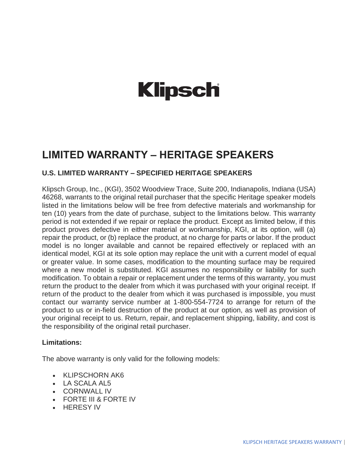# **Klipsch**

# **LIMITED WARRANTY – HERITAGE SPEAKERS**

## **U.S. LIMITED WARRANTY – SPECIFIED HERITAGE SPEAKERS**

Klipsch Group, Inc., (KGI), 3502 Woodview Trace, Suite 200, Indianapolis, Indiana (USA) 46268, warrants to the original retail purchaser that the specific Heritage speaker models listed in the limitations below will be free from defective materials and workmanship for ten (10) years from the date of purchase, subject to the limitations below. This warranty period is not extended if we repair or replace the product. Except as limited below, if this product proves defective in either material or workmanship, KGI, at its option, will (a) repair the product, or (b) replace the product, at no charge for parts or labor. If the product model is no longer available and cannot be repaired effectively or replaced with an identical model, KGI at its sole option may replace the unit with a current model of equal or greater value. In some cases, modification to the mounting surface may be required where a new model is substituted. KGI assumes no responsibility or liability for such modification. To obtain a repair or replacement under the terms of this warranty, you must return the product to the dealer from which it was purchased with your original receipt. If return of the product to the dealer from which it was purchased is impossible, you must contact our warranty service number at 1-800-554-7724 to arrange for return of the product to us or in-field destruction of the product at our option, as well as provision of your original receipt to us. Return, repair, and replacement shipping, liability, and cost is the responsibility of the original retail purchaser.

### **Limitations:**

The above warranty is only valid for the following models:

- KLIPSCHORN AK6
- LA SCALA AL5
- CORNWALL IV
- FORTE III & FORTE IV
- HERESY IV